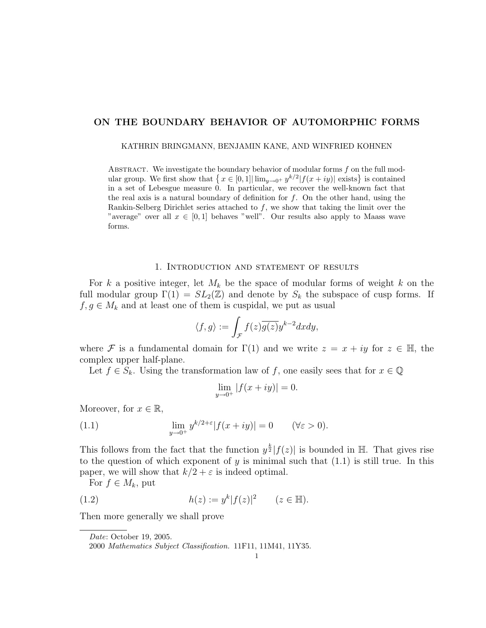# ON THE BOUNDARY BEHAVIOR OF AUTOMORPHIC FORMS

KATHRIN BRINGMANN, BENJAMIN KANE, AND WINFRIED KOHNEN

ABSTRACT. We investigate the boundary behavior of modular forms  $f$  on the full modular group. We first show that  $\{x \in [0,1] | \lim_{y\to 0^+} y^{k/2} | f(x+iy)| \text{ exists}\}\$  is contained in a set of Lebesgue measure 0. In particular, we recover the well-known fact that the real axis is a natural boundary of definition for  $f$ . On the other hand, using the Rankin-Selberg Dirichlet series attached to  $f$ , we show that taking the limit over the "average" over all  $x \in [0,1]$  behaves "well". Our results also apply to Maass wave forms.

#### 1. Introduction and statement of results

For k a positive integer, let  $M_k$  be the space of modular forms of weight k on the full modular group  $\Gamma(1) = SL_2(\mathbb{Z})$  and denote by  $S_k$  the subspace of cusp forms. If  $f, g \in M_k$  and at least one of them is cuspidal, we put as usual

$$
\langle f, g \rangle := \int_{\mathcal{F}} f(z) \overline{g(z)} y^{k-2} dx dy,
$$

where F is a fundamental domain for  $\Gamma(1)$  and we write  $z = x + iy$  for  $z \in \mathbb{H}$ , the complex upper half-plane.

Let  $f \in S_k$ . Using the transformation law of f, one easily sees that for  $x \in \mathbb{Q}$ 

$$
\lim_{y \to 0^+} |f(x + iy)| = 0.
$$

Moreover, for  $x \in \mathbb{R}$ ,

(1.1) 
$$
\lim_{y \to 0^+} y^{k/2 + \varepsilon} |f(x + iy)| = 0 \quad (\forall \varepsilon > 0).
$$

This follows from the fact that the function  $y^{\frac{k}{2}}|f(z)|$  is bounded in H. That gives rise to the question of which exponent of y is minimal such that  $(1.1)$  is still true. In this paper, we will show that  $k/2 + \varepsilon$  is indeed optimal.

For  $f \in M_k$ , put

(1.2) 
$$
h(z) := y^k |f(z)|^2 \qquad (z \in \mathbb{H}).
$$

Then more generally we shall prove

Date: October 19, 2005.

<sup>2000</sup> Mathematics Subject Classification. 11F11, 11M41, 11Y35.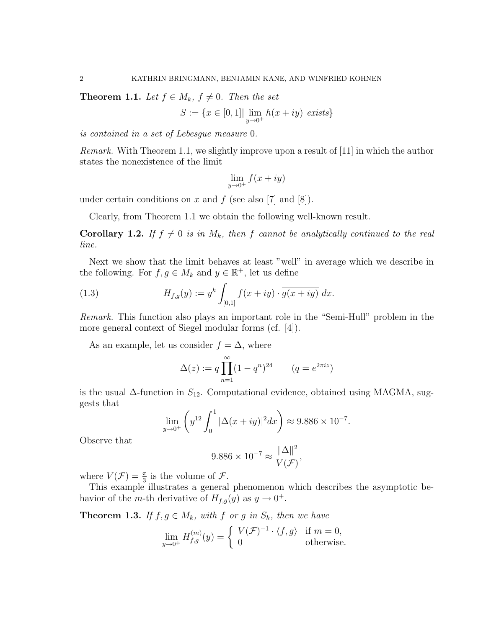**Theorem 1.1.** Let  $f \in M_k$ ,  $f \neq 0$ . Then the set

$$
S:=\{x\in[0,1]|\lim_{y\to 0^+}h(x+iy)\,\;exists\}
$$

is contained in a set of Lebesgue measure 0.

Remark. With Theorem 1.1, we slightly improve upon a result of [11] in which the author states the nonexistence of the limit

$$
\lim_{y \to 0^+} f(x+iy)
$$

under certain conditions on x and f (see also [7] and [8]).

Clearly, from Theorem 1.1 we obtain the following well-known result.

**Corollary 1.2.** If  $f \neq 0$  is in  $M_k$ , then f cannot be analytically continued to the real line.

Next we show that the limit behaves at least "well" in average which we describe in the following. For  $f, g \in M_k$  and  $y \in \mathbb{R}^+$ , let us define

(1.3) 
$$
H_{f,g}(y) := y^k \int_{[0,1]} f(x+iy) \cdot \overline{g(x+iy)} dx.
$$

Remark. This function also plays an important role in the "Semi-Hull" problem in the more general context of Siegel modular forms (cf. [4]).

As an example, let us consider  $f = \Delta$ , where

$$
\Delta(z) := q \prod_{n=1}^{\infty} (1 - q^n)^{24} \qquad (q = e^{2\pi i z})
$$

is the usual  $\Delta$ -function in  $S_{12}$ . Computational evidence, obtained using MAGMA, suggests that

$$
\lim_{y \to 0^+} \left( y^{12} \int_0^1 |\Delta(x+iy)|^2 dx \right) \approx 9.886 \times 10^{-7}.
$$

Observe that

$$
9.886 \times 10^{-7} \approx \frac{\|\Delta\|^2}{V(\mathcal{F})},
$$

where  $V(\mathcal{F}) = \frac{\pi}{3}$  is the volume of  $\mathcal{F}$ .

This example illustrates a general phenomenon which describes the asymptotic behavior of the *m*-th derivative of  $H_{f,g}(y)$  as  $y \to 0^+$ .

**Theorem 1.3.** If  $f, g \in M_k$ , with f or g in  $S_k$ , then we have

$$
\lim_{y \to 0^+} H_{f,g}^{(m)}(y) = \begin{cases} V(\mathcal{F})^{-1} \cdot \langle f, g \rangle & \text{if } m = 0, \\ 0 & \text{otherwise.} \end{cases}
$$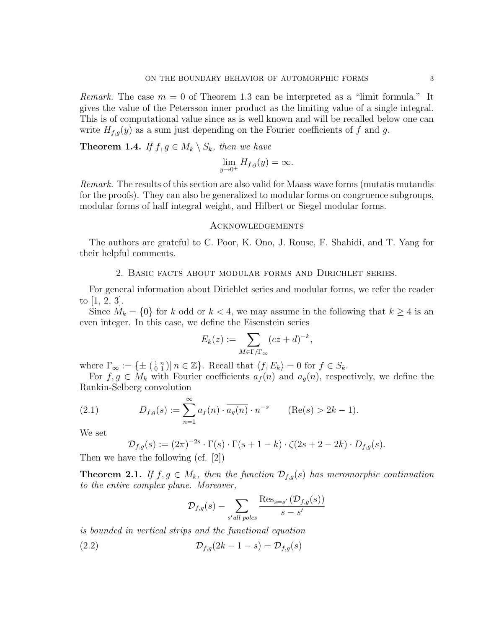Remark. The case  $m = 0$  of Theorem 1.3 can be interpreted as a "limit formula." It gives the value of the Petersson inner product as the limiting value of a single integral. This is of computational value since as is well known and will be recalled below one can write  $H_{f,q}(y)$  as a sum just depending on the Fourier coefficients of f and g.

**Theorem 1.4.** If  $f, g \in M_k \setminus S_k$ , then we have

$$
\lim_{y \to 0^+} H_{f,g}(y) = \infty.
$$

Remark. The results of this section are also valid for Maass wave forms (mutatis mutandis for the proofs). They can also be generalized to modular forms on congruence subgroups, modular forms of half integral weight, and Hilbert or Siegel modular forms.

## Acknowledgements

The authors are grateful to C. Poor, K. Ono, J. Rouse, F. Shahidi, and T. Yang for their helpful comments.

#### 2. Basic facts about modular forms and Dirichlet series.

For general information about Dirichlet series and modular forms, we refer the reader to [1, 2, 3].

Since  $M_k = \{0\}$  for k odd or  $k < 4$ , we may assume in the following that  $k \geq 4$  is an even integer. In this case, we define the Eisenstein series

$$
E_k(z) := \sum_{M \in \Gamma/\Gamma_{\infty}} (cz + d)^{-k},
$$

where  $\Gamma_{\infty} := \{ \pm \left( \begin{smallmatrix} 1 & n \\ 0 & 1 \end{smallmatrix} \right) | n \in \mathbb{Z} \}.$  Recall that  $\langle f, E_k \rangle = 0$  for  $f \in S_k$ .

For  $f, g \in M_k$  with Fourier coefficients  $a_f(n)$  and  $a_g(n)$ , respectively, we define the Rankin-Selberg convolution

(2.1) 
$$
D_{f,g}(s) := \sum_{n=1}^{\infty} a_f(n) \cdot \overline{a_g(n)} \cdot n^{-s} \qquad (\text{Re}(s) > 2k - 1).
$$

We set

$$
\mathcal{D}_{f,g}(s) := (2\pi)^{-2s} \cdot \Gamma(s) \cdot \Gamma(s+1-k) \cdot \zeta(2s+2-2k) \cdot D_{f,g}(s).
$$

Then we have the following (cf. [2])

**Theorem 2.1.** If  $f, g \in M_k$ , then the function  $\mathcal{D}_{f,q}(s)$  has meromorphic continuation to the entire complex plane. Moreover,

$$
\mathcal{D}_{f,g}(s) - \sum_{s' \text{ all poles}} \frac{\text{Res}_{s=s'}(\mathcal{D}_{f,g}(s))}{s-s'}
$$

is bounded in vertical strips and the functional equation

$$
(2.2) \t\t\t \mathcal{D}_{f,g}(2k-1-s) = \mathcal{D}_{f,g}(s)
$$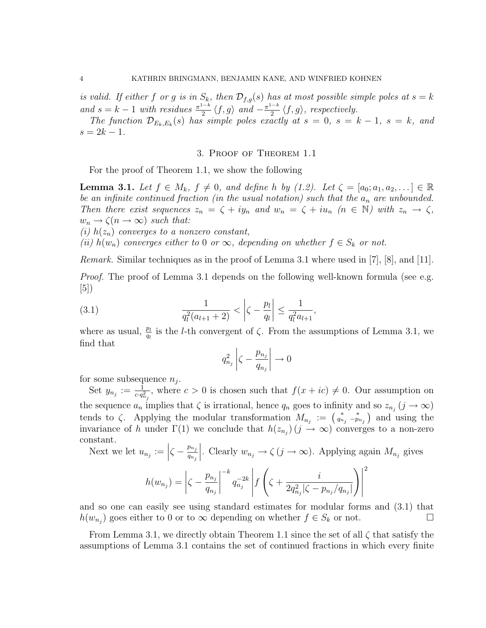is valid. If either f or g is in  $S_k$ , then  $\mathcal{D}_{f,g}(s)$  has at most possible simple poles at  $s = k$ and  $s = k - 1$  with residues  $\frac{\pi^{1-k}}{2}$  $rac{a_{1-k}}{2} \langle f, g \rangle$  and  $-\frac{\pi^{1-k}}{2}$  $\frac{1}{2} \langle f, g \rangle$ , respectively.

The function  $\mathcal{D}_{E_k,E_k}(s)$  has simple poles exactly at  $s=0, s=k-1, s=k,$  and  $s = 2k - 1$ .

## 3. Proof of Theorem 1.1

For the proof of Theorem 1.1, we show the following

**Lemma 3.1.** Let  $f \in M_k$ ,  $f \neq 0$ , and define h by (1.2). Let  $\zeta = [a_0; a_1, a_2, \dots] \in \mathbb{R}$ be an infinite continued fraction (in the usual notation) such that the  $a_n$  are unbounded. Then there exist sequences  $z_n = \zeta + iy_n$  and  $w_n = \zeta + i u_n$   $(n \in \mathbb{N})$  with  $z_n \to \zeta$ ,  $w_n \to \zeta(n \to \infty)$  such that:

(i)  $h(z_n)$  converges to a nonzero constant,

(ii)  $h(w_n)$  converges either to 0 or  $\infty$ , depending on whether  $f \in S_k$  or not.

Remark. Similar techniques as in the proof of Lemma 3.1 where used in [7], [8], and [11].

*Proof.* The proof of Lemma 3.1 depends on the following well-known formula (see e.g. [5])

(3.1) 
$$
\frac{1}{q_l^2(a_{l+1}+2)} < \left|\zeta - \frac{p_l}{q_l}\right| \le \frac{1}{q_l^2 a_{l+1}},
$$

where as usual,  $\frac{p_l}{q_l}$  is the *l*-th convergent of  $\zeta$ . From the assumptions of Lemma 3.1, we find that

$$
q_{n_j}^2 \left| \zeta - \frac{p_{n_j}}{q_{n_j}} \right| \to 0
$$

for some subsequence  $n_j$ .

Set  $y_{n_j} := \frac{1}{c \cdot q_{n_j}^2}$ , where  $c > 0$  is chosen such that  $f(x + ic) \neq 0$ . Our assumption on the sequence  $a_n$  implies that  $\zeta$  is irrational, hence  $q_n$  goes to infinity and so  $z_{n_j}$   $(j \to \infty)$ tends to  $\zeta$ . Applying the modular transformation  $M_{n_j} := \begin{pmatrix} * & * \\ q_{n_j} & -p_{n_j} \end{pmatrix}$  and using the invariance of h under  $\Gamma(1)$  we conclude that  $h(z_{n_j})$   $(j \to \infty)$  converges to a non-zero constant.

Next we let  $u_{n_j} := \left| \zeta - \frac{p_{n_j}}{q_{n_j}} \right|$  $q_{n_j}$ . Clearly  $w_{n_j} \to \zeta (j \to \infty)$ . Applying again  $M_{n_j}$  gives

$$
h(w_{n_j}) = \left| \zeta - \frac{p_{n_j}}{q_{n_j}} \right|^{-k} q_{n_j}^{-2k} \left| f\left( \zeta + \frac{i}{2q_{n_j}^2 |\zeta - p_{n_j}/q_{n_j}|} \right) \right|^2
$$

and so one can easily see using standard estimates for modular forms and (3.1) that  $h(w_{n_j})$  goes either to 0 or to  $\infty$  depending on whether  $f \in S_k$  or not.

From Lemma 3.1, we directly obtain Theorem 1.1 since the set of all  $\zeta$  that satisfy the assumptions of Lemma 3.1 contains the set of continued fractions in which every finite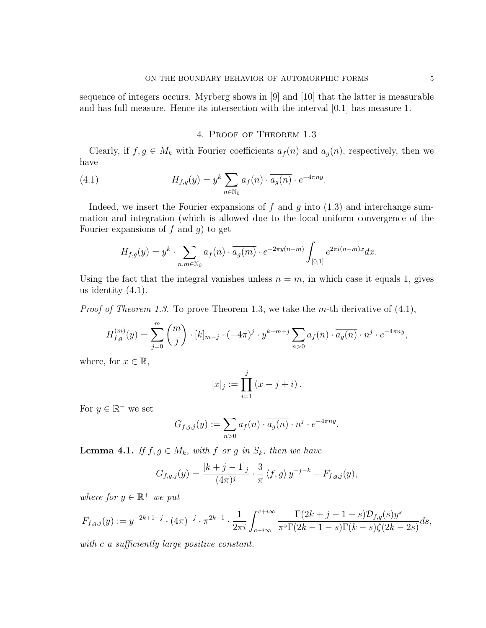sequence of integers occurs. Myrberg shows in [9] and [10] that the latter is measurable and has full measure. Hence its intersection with the interval [0.1] has measure 1.

### 4. Proof of Theorem 1.3

Clearly, if  $f, g \in M_k$  with Fourier coefficients  $a_f(n)$  and  $a_g(n)$ , respectively, then we have

(4.1) 
$$
H_{f,g}(y) = y^k \sum_{n \in \mathbb{N}_0} a_f(n) \cdot \overline{a_g(n)} \cdot e^{-4\pi ny}.
$$

Indeed, we insert the Fourier expansions of f and q into  $(1.3)$  and interchange summation and integration (which is allowed due to the local uniform convergence of the Fourier expansions of  $f$  and  $g$ ) to get

$$
H_{f,g}(y) = y^k \cdot \sum_{n,m \in \mathbb{N}_0} a_f(n) \cdot \overline{a_g(m)} \cdot e^{-2\pi y(n+m)} \int_{[0,1]} e^{2\pi i(n-m)x} dx.
$$

Using the fact that the integral vanishes unless  $n = m$ , in which case it equals 1, gives us identity  $(4.1)$ .

*Proof of Theorem 1.3.* To prove Theorem 1.3, we take the m-th derivative of  $(4.1)$ ,

$$
H_{f,g}^{(m)}(y) = \sum_{j=0}^{m} {m \choose j} \cdot [k]_{m-j} \cdot (-4\pi)^j \cdot y^{k-m+j} \sum_{n>0} a_f(n) \cdot \overline{a_g(n)} \cdot n^j \cdot e^{-4\pi ny},
$$

where, for  $x \in \mathbb{R}$ ,

$$
[x]_j := \prod_{i=1}^j (x - j + i).
$$

For  $y \in \mathbb{R}^+$  we set

$$
G_{f,g,j}(y) := \sum_{n>0} a_f(n) \cdot \overline{a_g(n)} \cdot n^j \cdot e^{-4\pi ny}.
$$

**Lemma 4.1.** If  $f, g \in M_k$ , with f or g in  $S_k$ , then we have

$$
G_{f,g,j}(y) = \frac{[k+j-1]_j}{(4\pi)^j} \cdot \frac{3}{\pi} \langle f, g \rangle y^{-j-k} + F_{f,g,j}(y),
$$

where for  $y \in \mathbb{R}^+$  we put

$$
F_{f,g,j}(y) := y^{-2k+1-j} \cdot (4\pi)^{-j} \cdot \pi^{2k-1} \cdot \frac{1}{2\pi i} \int_{c-i\infty}^{c+i\infty} \frac{\Gamma(2k+j-1-s) \mathcal{D}_{f,g}(s) y^s}{\pi^s \Gamma(2k-1-s) \Gamma(k-s) \zeta(2k-2s)} ds,
$$

with c a sufficiently large positive constant.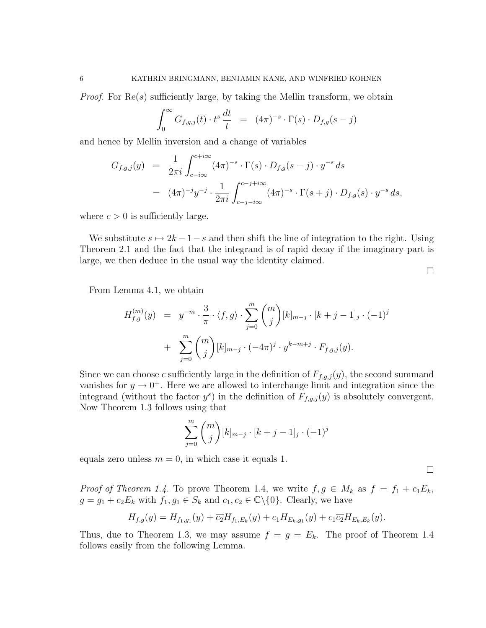*Proof.* For  $\text{Re}(s)$  sufficiently large, by taking the Mellin transform, we obtain

$$
\int_0^\infty G_{f,g,j}(t) \cdot t^s \frac{dt}{t} = (4\pi)^{-s} \cdot \Gamma(s) \cdot D_{f,g}(s-j)
$$

and hence by Mellin inversion and a change of variables

$$
G_{f,g,j}(y) = \frac{1}{2\pi i} \int_{c-i\infty}^{c+i\infty} (4\pi)^{-s} \cdot \Gamma(s) \cdot D_{f,g}(s-j) \cdot y^{-s} ds
$$
  
= 
$$
(4\pi)^{-j} y^{-j} \cdot \frac{1}{2\pi i} \int_{c-j-i\infty}^{c-j+i\infty} (4\pi)^{-s} \cdot \Gamma(s+j) \cdot D_{f,g}(s) \cdot y^{-s} ds,
$$

where  $c > 0$  is sufficiently large.

We substitute  $s \mapsto 2k - 1 - s$  and then shift the line of integration to the right. Using Theorem 2.1 and the fact that the integrand is of rapid decay if the imaginary part is large, we then deduce in the usual way the identity claimed.

 $\Box$ 

 $\Box$ 

From Lemma 4.1, we obtain

$$
H_{f,g}^{(m)}(y) = y^{-m} \cdot \frac{3}{\pi} \cdot \langle f, g \rangle \cdot \sum_{j=0}^{m} {m \choose j} [k]_{m-j} \cdot [k+j-1]_j \cdot (-1)^j
$$
  
+ 
$$
\sum_{j=0}^{m} {m \choose j} [k]_{m-j} \cdot (-4\pi)^j \cdot y^{k-m+j} \cdot F_{f,g,j}(y).
$$

Since we can choose c sufficiently large in the definition of  $F_{f,q,j}(y)$ , the second summand vanishes for  $y \to 0^+$ . Here we are allowed to interchange limit and integration since the integrand (without the factor  $y^s$ ) in the definition of  $F_{f,g,j}(y)$  is absolutely convergent. Now Theorem 1.3 follows using that

$$
\sum_{j=0}^{m} {m \choose j} [k]_{m-j} \cdot [k+j-1]_j \cdot (-1)^j
$$

equals zero unless  $m = 0$ , in which case it equals 1.

*Proof of Theorem 1.4.* To prove Theorem 1.4, we write  $f, g \in M_k$  as  $f = f_1 + c_1 E_k$ ,  $g = g_1 + c_2 E_k$  with  $f_1, g_1 \in S_k$  and  $c_1, c_2 \in \mathbb{C} \setminus \{0\}$ . Clearly, we have

$$
H_{f,g}(y) = H_{f_1,g_1}(y) + \overline{c_2}H_{f_1,E_k}(y) + c_1H_{E_k,g_1}(y) + c_1\overline{c_2}H_{E_k,E_k}(y).
$$

Thus, due to Theorem 1.3, we may assume  $f = g = E_k$ . The proof of Theorem 1.4 follows easily from the following Lemma.